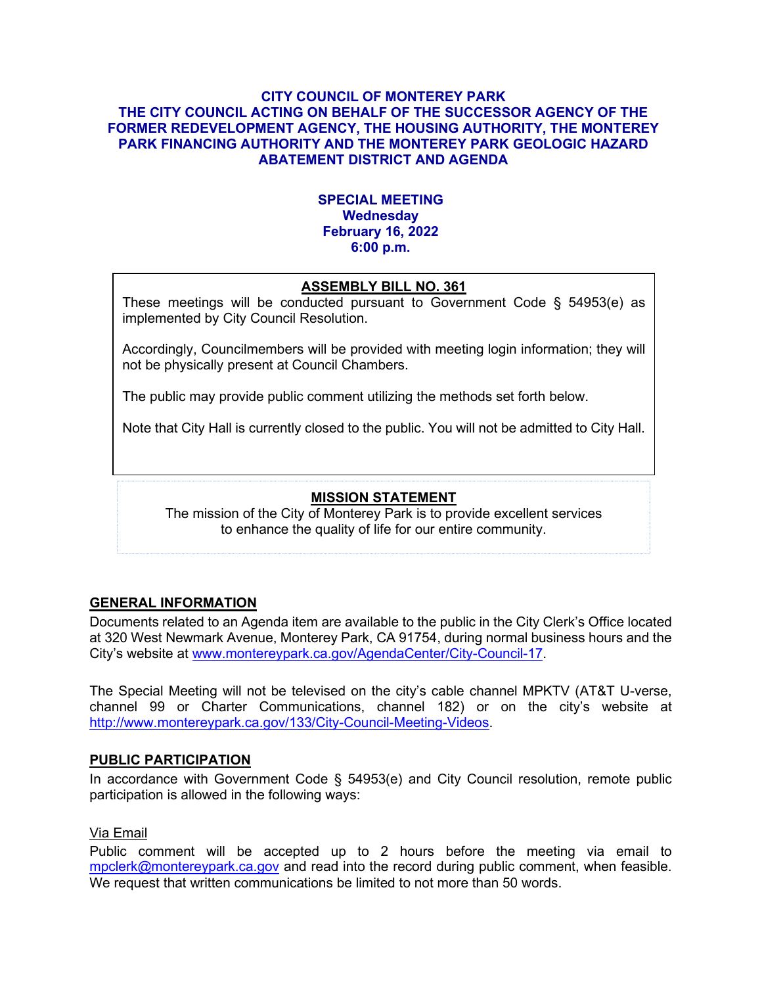### **CITY COUNCIL OF MONTEREY PARK THE CITY COUNCIL ACTING ON BEHALF OF THE SUCCESSOR AGENCY OF THE FORMER REDEVELOPMENT AGENCY, THE HOUSING AUTHORITY, THE MONTEREY PARK FINANCING AUTHORITY AND THE MONTEREY PARK GEOLOGIC HAZARD ABATEMENT DISTRICT AND AGENDA**

# **SPECIAL MEETING Wednesday February 16, 2022 6:00 p.m.**

# **ASSEMBLY BILL NO. 361**

These meetings will be conducted pursuant to Government Code § 54953(e) as implemented by City Council Resolution.

Accordingly, Councilmembers will be provided with meeting login information; they will not be physically present at Council Chambers.

The public may provide public comment utilizing the methods set forth below.

Note that City Hall is currently closed to the public. You will not be admitted to City Hall.

# **MISSION STATEMENT**

The mission of the City of Monterey Park is to provide excellent services to enhance the quality of life for our entire community.

# **GENERAL INFORMATION**

Documents related to an Agenda item are available to the public in the City Clerk's Office located at 320 West Newmark Avenue, Monterey Park, CA 91754, during normal business hours and the City's website at [www.montereypark.ca.gov/AgendaCenter/City-Council-17.](http://www.montereypark.ca.gov/AgendaCenter/City-Council-17)

The Special Meeting will not be televised on the city's cable channel MPKTV (AT&T U-verse, channel 99 or Charter Communications, channel 182) or on the city's website at [http://www.montereypark.ca.gov/133/City-Council-Meeting-Videos.](http://www.montereypark.ca.gov/133/City-Council-Meeting-Videos)

#### **PUBLIC PARTICIPATION**

In accordance with Government Code § 54953(e) and City Council resolution, remote public participation is allowed in the following ways:

#### Via Email

Public comment will be accepted up to 2 hours before the meeting via email to [mpclerk@montereypark.ca.gov](mailto:mpclerk@montereypark.ca.gov) and read into the record during public comment, when feasible. We request that written communications be limited to not more than 50 words.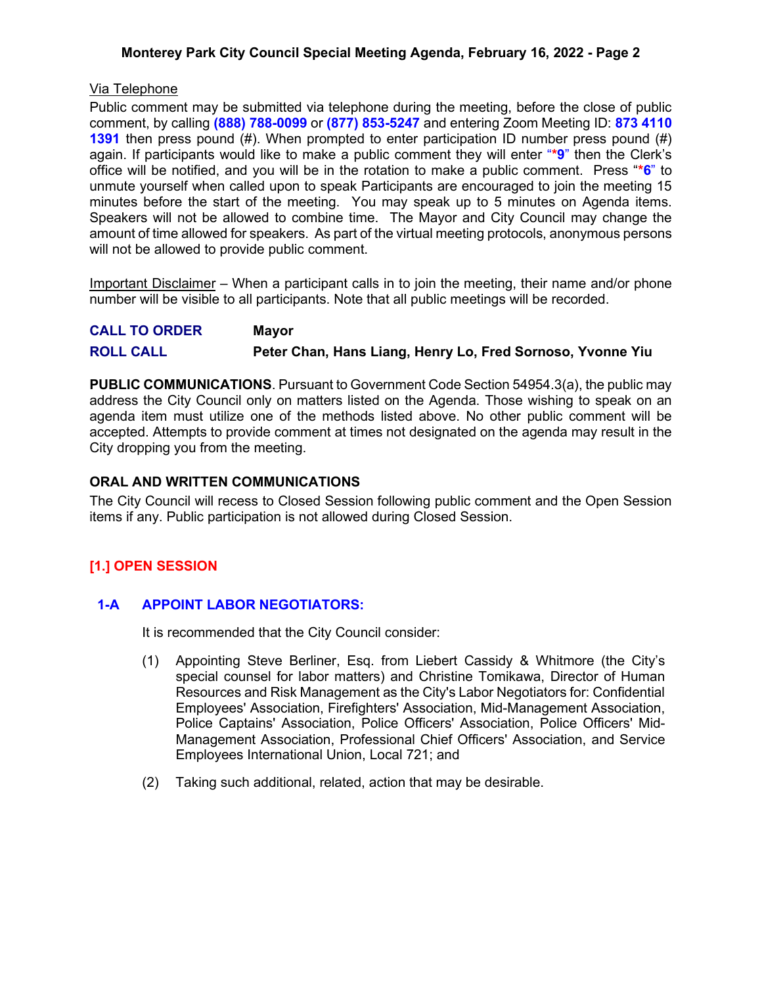# **Monterey Park City Council Special Meeting Agenda, February 16, 2022 - Page 2**

### Via Telephone

Public comment may be submitted via telephone during the meeting, before the close of public comment, by calling **(888) 788-0099** or **(877) 853-5247** and entering Zoom Meeting ID: **873 4110 1391** then press pound (#). When prompted to enter participation ID number press pound (#) again. If participants would like to make a public comment they will enter "**\*9**" then the Clerk's office will be notified, and you will be in the rotation to make a public comment. Press "**\*6**" to unmute yourself when called upon to speak Participants are encouraged to join the meeting 15 minutes before the start of the meeting. You may speak up to 5 minutes on Agenda items. Speakers will not be allowed to combine time. The Mayor and City Council may change the amount of time allowed for speakers. As part of the virtual meeting protocols, anonymous persons will not be allowed to provide public comment.

Important Disclaimer – When a participant calls in to join the meeting, their name and/or phone number will be visible to all participants. Note that all public meetings will be recorded.

| <b>CALL TO ORDER</b> | <b>Mayor</b>                                               |
|----------------------|------------------------------------------------------------|
| <b>ROLL CALL</b>     | Peter Chan, Hans Liang, Henry Lo, Fred Sornoso, Yvonne Yiu |

**PUBLIC COMMUNICATIONS**. Pursuant to Government Code Section 54954.3(a), the public may address the City Council only on matters listed on the Agenda. Those wishing to speak on an agenda item must utilize one of the methods listed above. No other public comment will be accepted. Attempts to provide comment at times not designated on the agenda may result in the City dropping you from the meeting.

### **ORAL AND WRITTEN COMMUNICATIONS**

The City Council will recess to Closed Session following public comment and the Open Session items if any. Public participation is not allowed during Closed Session.

# **[1.] OPEN SESSION**

# **1-A APPOINT LABOR NEGOTIATORS:**

It is recommended that the City Council consider:

- (1) Appointing Steve Berliner, Esq. from Liebert Cassidy & Whitmore (the City's special counsel for labor matters) and Christine Tomikawa, Director of Human Resources and Risk Management as the City's Labor Negotiators for: Confidential Employees' Association, Firefighters' Association, Mid-Management Association, Police Captains' Association, Police Officers' Association, Police Officers' Mid-Management Association, Professional Chief Officers' Association, and Service Employees International Union, Local 721; and
- (2) Taking such additional, related, action that may be desirable.